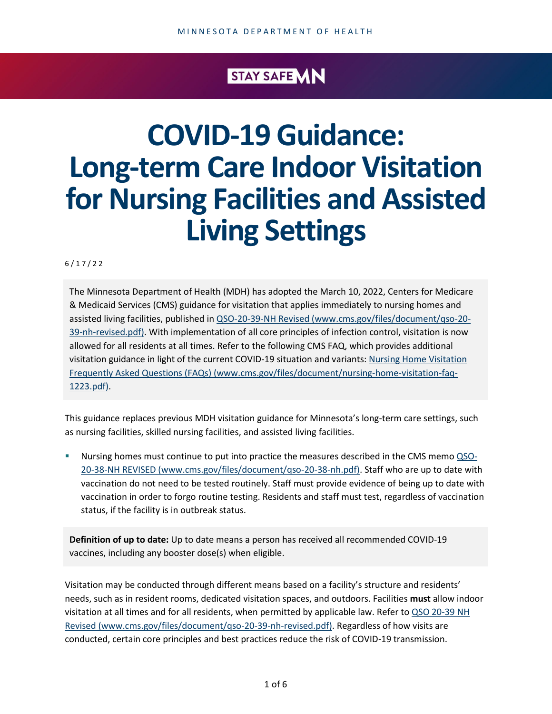### STAY SAFE **MN**

# **COVID-19 Guidance: Long-term Care Indoor Visitation for Nursing Facilities and Assisted Living Settings**

6 / 1 7 /22

The Minnesota Department of Health (MDH) has adopted the March 10, 2022, Centers for Medicare & Medicaid Services (CMS) guidance for visitation that applies immediately to nursing homes and assisted living facilities, published in [QSO-20-39-NH Revised \(www.cms.gov/files/document/qso-20-](https://www.cms.gov/files/document/qso-20-39-nh-revised.pdf) [39-nh-revised.pdf\).](https://www.cms.gov/files/document/qso-20-39-nh-revised.pdf) With implementation of all core principles of infection control, visitation is now allowed for all residents at all times. Refer to the following CMS FAQ, which provides additional visitation guidance in light of the current COVID-19 situation and variants: [Nursing Home Visitation](https://www.cms.gov/files/document/nursing-home-visitation-faq-1223.pdf)  [Frequently Asked Questions \(FAQs\) \(www.cms.gov/files/document/nursing-home-visitation-faq-](https://www.cms.gov/files/document/nursing-home-visitation-faq-1223.pdf)[1223.pdf\).](https://www.cms.gov/files/document/nursing-home-visitation-faq-1223.pdf)

This guidance replaces previous MDH visitation guidance for Minnesota's long-term care settings, such as nursing facilities, skilled nursing facilities, and assisted living facilities.

Nursing homes must continue to put into practice the measures described in the CMS memo [QSO-](https://www.cms.gov/files/document/qso-20-38-nh.pdf)[20-38-NH REVISED \(www.cms.gov/files/document/qso-20-38-nh.pdf\).](https://www.cms.gov/files/document/qso-20-38-nh.pdf) Staff who are up to date with vaccination do not need to be tested routinely. Staff must provide evidence of being up to date with vaccination in order to forgo routine testing. Residents and staff must test, regardless of vaccination status, if the facility is in outbreak status.

**Definition of up to date:** Up to date means a person has received all recommended COVID-19 vaccines, including any booster dose(s) when eligible.

Visitation may be conducted through different means based on a facility's structure and residents' needs, such as in resident rooms, dedicated visitation spaces, and outdoors. Facilities **must** allow indoor visitation at all times and for all residents, when permitted by applicable law. Refer to QSO 20-39 NH [Revised \(www.cms.gov/files/document/qso-20-39-nh-revised.pdf\).](https://www.cms.gov/files/document/qso-20-39-nh-revised.pdf) Regardless of how visits are conducted, certain core principles and best practices reduce the risk of COVID-19 transmission.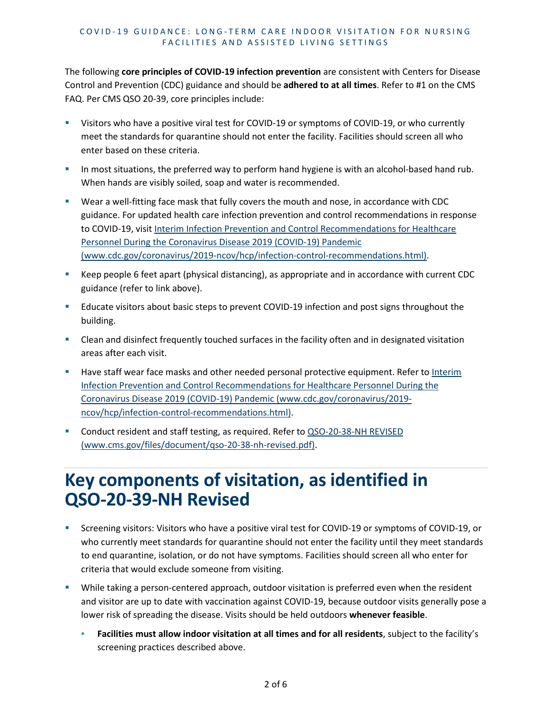The following **core principles of COVID-19 infection prevention** are consistent with Centers for Disease Control and Prevention (CDC) guidance and should be **adhered to at all times**. Refer to #1 on the CMS FAQ. Per CMS QSO 20-39, core principles include:

- Visitors who have a positive viral test for COVID-19 or symptoms of COVID-19, or who currently meet the standards for quarantine should not enter the facility. Facilities should screen all who enter based on these criteria.
- In most situations, the preferred way to perform hand hygiene is with an alcohol-based hand rub. When hands are visibly soiled, soap and water is recommended.
- Wear a well-fitting face mask that fully covers the mouth and nose, in accordance with CDC guidance. For updated health care infection prevention and control recommendations in response to COVID-19, visit [Interim Infection Prevention and Control Recommendations for Healthcare](https://www.cdc.gov/coronavirus/2019-ncov/hcp/infection-control-recommendations.html)  [Personnel During the Coronavirus Disease 2019 \(COVID-19\) Pandemic](https://www.cdc.gov/coronavirus/2019-ncov/hcp/infection-control-recommendations.html)  [\(www.cdc.gov/coronavirus/2019-ncov/hcp/infection-control-recommendations.html\).](https://www.cdc.gov/coronavirus/2019-ncov/hcp/infection-control-recommendations.html)
- Keep people 6 feet apart (physical distancing), as appropriate and in accordance with current CDC guidance (refer to link above).
- Educate visitors about basic steps to prevent COVID-19 infection and post signs throughout the building.
- Clean and disinfect frequently touched surfaces in the facility often and in designated visitation areas after each visit.
- Have staff wear face masks and other needed personal protective equipment. Refer to Interim [Infection Prevention and Control Recommendations for Healthcare Personnel During the](https://www.cdc.gov/coronavirus/2019-ncov/hcp/infection-control-recommendations.html)  [Coronavirus Disease 2019 \(COVID-19\) Pandemic \(www.cdc.gov/coronavirus/2019](https://www.cdc.gov/coronavirus/2019-ncov/hcp/infection-control-recommendations.html) [ncov/hcp/infection-control-recommendations.html\).](https://www.cdc.gov/coronavirus/2019-ncov/hcp/infection-control-recommendations.html)
- Conduct resident and staff testing, as required. Refer to QSO-20-38-NH REVISED [\(www.cms.gov/files/document/qso-20-38-nh-revised.pdf\).](https://www.cms.gov/files/document/qso-20-38-nh-revised.pdf)

### **Key components of visitation, as identified in QSO-20-39-NH Revised**

- Screening visitors: Visitors who have a positive viral test for COVID-19 or symptoms of COVID-19, or who currently meet standards for quarantine should not enter the facility until they meet standards to end quarantine, isolation, or do not have symptoms. Facilities should screen all who enter for criteria that would exclude someone from visiting.
- While taking a person-centered approach, outdoor visitation is preferred even when the resident and visitor are up to date with vaccination against COVID-19, because outdoor visits generally pose a lower risk of spreading the disease. Visits should be held outdoors **whenever feasible**.
	- **Facilities must allow indoor visitation at all times and for all residents**, subject to the facility's screening practices described above.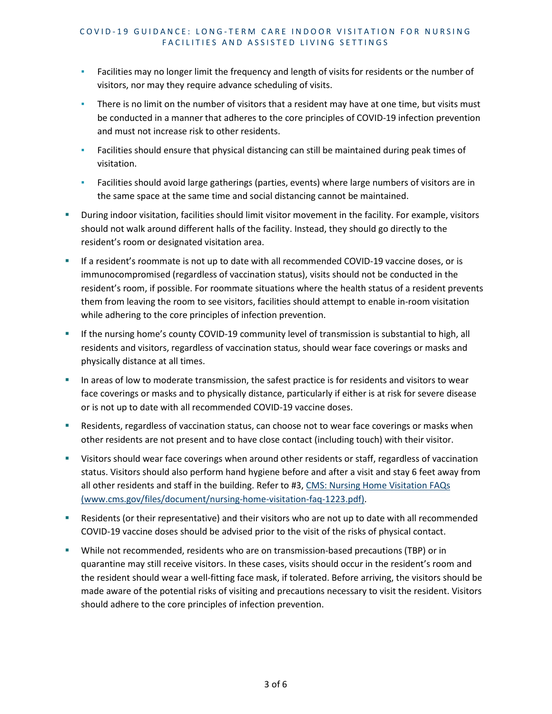- **EXECT** Facilities may no longer limit the frequency and length of visits for residents or the number of visitors, nor may they require advance scheduling of visits.
- **EXED There is no limit on the number of visitors that a resident may have at one time, but visits must** be conducted in a manner that adheres to the core principles of COVID-19 infection prevention and must not increase risk to other residents.
- **•** Facilities should ensure that physical distancing can still be maintained during peak times of visitation.
- Facilities should avoid large gatherings (parties, events) where large numbers of visitors are in the same space at the same time and social distancing cannot be maintained.
- During indoor visitation, facilities should limit visitor movement in the facility. For example, visitors should not walk around different halls of the facility. Instead, they should go directly to the resident's room or designated visitation area.
- If a resident's roommate is not up to date with all recommended COVID-19 vaccine doses, or is immunocompromised (regardless of vaccination status), visits should not be conducted in the resident's room, if possible. For roommate situations where the health status of a resident prevents them from leaving the room to see visitors, facilities should attempt to enable in-room visitation while adhering to the core principles of infection prevention.
- **If the nursing home's county COVID-19 community level of transmission is substantial to high, all** residents and visitors, regardless of vaccination status, should wear face coverings or masks and physically distance at all times.
- In areas of low to moderate transmission, the safest practice is for residents and visitors to wear face coverings or masks and to physically distance, particularly if either is at risk for severe disease or is not up to date with all recommended COVID-19 vaccine doses.
- Residents, regardless of vaccination status, can choose not to wear face coverings or masks when other residents are not present and to have close contact (including touch) with their visitor.
- Visitors should wear face coverings when around other residents or staff, regardless of vaccination status. Visitors should also perform hand hygiene before and after a visit and stay 6 feet away from all other residents and staff in the building. Refer to #3, CMS: Nursing Home Visitation FAQs [\(www.cms.gov/files/document/nursing-home-visitation-faq-1223.pdf\).](https://www.cms.gov/files/document/nursing-home-visitation-faq-1223.pdf)
- Residents (or their representative) and their visitors who are not up to date with all recommended COVID-19 vaccine doses should be advised prior to the visit of the risks of physical contact.
- While not recommended, residents who are on transmission-based precautions (TBP) or in quarantine may still receive visitors. In these cases, visits should occur in the resident's room and the resident should wear a well-fitting face mask, if tolerated. Before arriving, the visitors should be made aware of the potential risks of visiting and precautions necessary to visit the resident. Visitors should adhere to the core principles of infection prevention.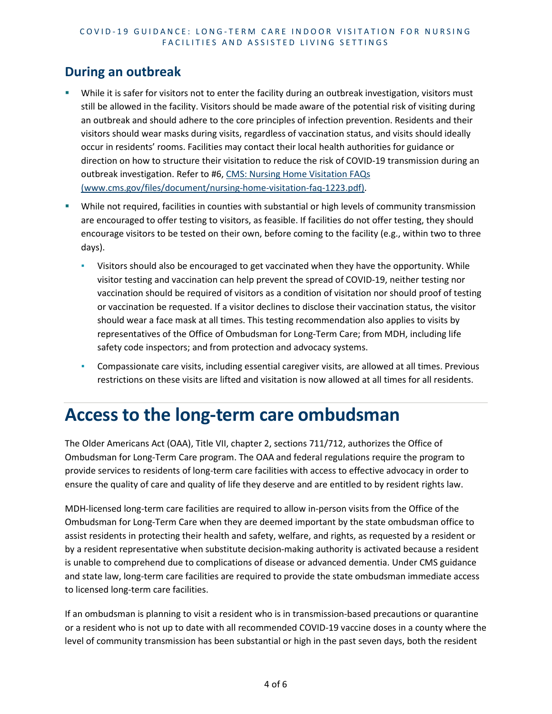#### **During an outbreak**

- While it is safer for visitors not to enter the facility during an outbreak investigation, visitors must still be allowed in the facility. Visitors should be made aware of the potential risk of visiting during an outbreak and should adhere to the core principles of infection prevention. Residents and their visitors should wear masks during visits, regardless of vaccination status, and visits should ideally occur in residents' rooms. Facilities may contact their local health authorities for guidance or direction on how to structure their visitation to reduce the risk of COVID-19 transmission during an outbreak investigation. Refer to #6, [CMS: Nursing Home Visitation FAQs](https://www.cms.gov/files/document/nursing-home-visitation-faq-1223.pdf)  [\(www.cms.gov/files/document/nursing-home-visitation-faq-1223.pdf\).](https://www.cms.gov/files/document/nursing-home-visitation-faq-1223.pdf)
- While not required, facilities in counties with substantial or high levels of community transmission are encouraged to offer testing to visitors, as feasible. If facilities do not offer testing, they should encourage visitors to be tested on their own, before coming to the facility (e.g., within two to three days).
	- Visitors should also be encouraged to get vaccinated when they have the opportunity. While visitor testing and vaccination can help prevent the spread of COVID-19, neither testing nor vaccination should be required of visitors as a condition of visitation nor should proof of testing or vaccination be requested. If a visitor declines to disclose their vaccination status, the visitor should wear a face mask at all times. This testing recommendation also applies to visits by representatives of the Office of Ombudsman for Long-Term Care; from MDH, including life safety code inspectors; and from protection and advocacy systems.
	- **Compassionate care visits, including essential caregiver visits, are allowed at all times. Previous** restrictions on these visits are lifted and visitation is now allowed at all times for all residents.

### **Access to the long-term care ombudsman**

The Older Americans Act (OAA), Title VII, chapter 2, sections 711/712, authorizes the Office of Ombudsman for Long-Term Care program. The OAA and federal regulations require the program to provide services to residents of long-term care facilities with access to effective advocacy in order to ensure the quality of care and quality of life they deserve and are entitled to by resident rights law.

MDH-licensed long-term care facilities are required to allow in-person visits from the Office of the Ombudsman for Long-Term Care when they are deemed important by the state ombudsman office to assist residents in protecting their health and safety, welfare, and rights, as requested by a resident or by a resident representative when substitute decision-making authority is activated because a resident is unable to comprehend due to complications of disease or advanced dementia. Under CMS guidance and state law, long-term care facilities are required to provide the state ombudsman immediate access to licensed long-term care facilities.

If an ombudsman is planning to visit a resident who is in transmission-based precautions or quarantine or a resident who is not up to date with all recommended COVID-19 vaccine doses in a county where the level of community transmission has been substantial or high in the past seven days, both the resident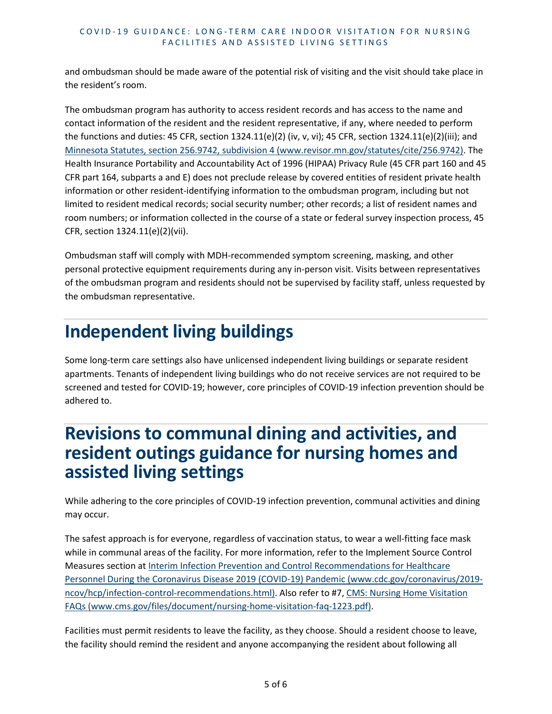and ombudsman should be made aware of the potential risk of visiting and the visit should take place in the resident's room.

The ombudsman program has authority to access resident records and has access to the name and contact information of the resident and the resident representative, if any, where needed to perform the functions and duties: 45 CFR, section 1324.11(e)(2) (iv, v, vi); 45 CFR, section 1324.11(e)(2)(iii); and [Minnesota Statutes, section 256.9742, subdivision 4 \(www.revisor.mn.gov/statutes/cite/256.9742\).](https://www.revisor.mn.gov/statutes/cite/256.9742) The Health Insurance Portability and Accountability Act of 1996 (HIPAA) Privacy Rule (45 CFR part 160 and 45 CFR part 164, subparts a and E) does not preclude release by covered entities of resident private health information or other resident-identifying information to the ombudsman program, including but not limited to resident medical records; social security number; other records; a list of resident names and room numbers; or information collected in the course of a state or federal survey inspection process, 45 CFR, section 1324.11(e)(2)(vii).

Ombudsman staff will comply with MDH-recommended symptom screening, masking, and other personal protective equipment requirements during any in-person visit. Visits between representatives of the ombudsman program and residents should not be supervised by facility staff, unless requested by the ombudsman representative.

## **Independent living buildings**

Some long-term care settings also have unlicensed independent living buildings or separate resident apartments. Tenants of independent living buildings who do not receive services are not required to be screened and tested for COVID-19; however, core principles of COVID-19 infection prevention should be adhered to.

### **Revisions to communal dining and activities, and resident outings guidance for nursing homes and assisted living settings**

While adhering to the core principles of COVID-19 infection prevention, communal activities and dining may occur.

The safest approach is for everyone, regardless of vaccination status, to wear a well-fitting face mask while in communal areas of the facility. For more information, refer to the Implement Source Control Measures section a[t Interim Infection Prevention and Control Recommendations for Healthcare](https://www.cdc.gov/coronavirus/2019-ncov/hcp/infection-control-recommendations.html)  [Personnel During the Coronavirus Disease 2019 \(COVID-19\) Pandemic \(www.cdc.gov/coronavirus/2019](https://www.cdc.gov/coronavirus/2019-ncov/hcp/infection-control-recommendations.html) [ncov/hcp/infection-control-recommendations.html\).](https://www.cdc.gov/coronavirus/2019-ncov/hcp/infection-control-recommendations.html) Also refer to #7[, CMS: Nursing Home Visitation](https://www.cms.gov/files/document/nursing-home-visitation-faq-1223.pdf)  [FAQs \(www.cms.gov/files/document/nursing-home-visitation-faq-1223.pdf\).](https://www.cms.gov/files/document/nursing-home-visitation-faq-1223.pdf)

Facilities must permit residents to leave the facility, as they choose. Should a resident choose to leave, the facility should remind the resident and anyone accompanying the resident about following all